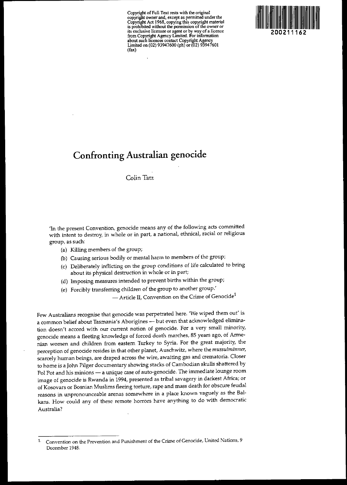**Copyright** of Full **Text rests with the original** copyright owner and, except as permitted under the<br>Copyright Act 1968, copying this copyright material<br>is prohibited without the permission of the owner or **its exclusive licensee or agent or by way ofa licence from Copyright Agency Limited. For information about such licences contact Copyright Agency** Umited on (02) 93947600 (ph) or (02) 93947601 (fax)



# **Confronting Australian genocide**

# Colin Tatz

**'In the present Convention, genocide means any of the following acts committed with intent to destroy, in whole or in part, a national, ethnical, racial or religious** group, as such:

- (a) Killing members of the group;
- (b) Causing serious bodily or mental harm to members of the group;
- (c) Deliberately inflicting on the group conditions of life calculated to bring about its physical destruction in whole or in part;
- (d) Imposing measures intended to prevent births within the group;
- (e) Forcibly transferring children of the group to another group.'

\_ **Article IT, Convention on the Crime of Genocide<sup>1</sup>**

Few Australians recognise that genocide was perpetrated here. 'We wiped them out' is **a common belief about Tasmania's Aborigines - but even that acknowledged elimination doesn't accord with our current notion of genocide. For a very small minority,** genocide means a fleeting knowledge of forced death marches, 85 years ago, of Armenian women and children from eastern Turkey to Syria. For the great majority, the **perception of genocide resides in that other planet, Auschwitz, where the** *mussulmiinner,* **scarcely human beings, are draped across the wire, awaiting gas and crematoria. Closer** to home is a John Pilger documentary showing stacks of Cambodian skulls shattered by Pol Pot and his minions - a unique case of auto-genocide. The immediate lounge room **image of genocide is Rwanda in 1994, presented as tribal savagery in darkest Africa; or** of Kosovars or Bosnian Muslims fleeing torture, rape and mass death for obscure feudal **reasons in unpronounceable arenas somewhere in a place known vaguely as the Balkans. How could any of these remote horrors have anything to do with democratic Australia?**

**<sup>1.</sup> Convention on the Prevention and Punishment of the Crime of Genocide, United Nations,** 9 **December 1948.**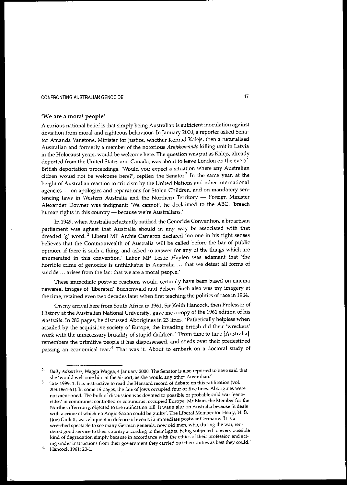# 'We are a moral people'

**A curious national belief is that simply being Australian is sufficient inoculation against** deviation from moral and righteous behaviour. In January 2000, a reporter asked Senator Amanda Vanstone, Minister for Justice, whether Konrad Kalejs, then a naturalised **Australian and formerly a member of the notorious** *Arajskomando* **killing unit in Latvia** in the Holocaust years, would be welcome here. The question was put as Kalejs, already deported from the United States and Canada, was about to leave London on the eve of British deportation proceedings. 'Would you expect a situation where any Australian **citizen would not be welcome here?', replied the Senator.<sup>2</sup> In the same year, at the** height of Australian reaction to criticism by the United Nations and other international **agencies - on apologies and reparations for Stolen Children, and on mandatory sen**tencing laws in Western Australia and the Northern Territory - Foreign Minister Alexander Downer was indignant: 'We cannot', he declaimed to the ABC, 'breach **human rights in this country - because we're Australians.'**

In 1949, when Australia reluctantly ratified the Genocide Convention, a bipartisan parliament was aghast that Australia should in any way be associated with that dreaded 'g' word.<sup>3</sup> Liberal MP Archie Cameron declared 'no one in his right senses believes that the Commonwealth of Australia will be called before the bar of public opinion, if there is such a thing, and asked to answer for any of the things which are **enumerated in this convention.' Labor MP Leslie Haylen was adamant that 'the** horrible crime of genocide is unthinkable in Australia ... that we detest all forms of **suicide ... arises from the fact that we are a moral people:**

**These immediate posnvar reactions would certainly have been based on cinema** newsreel images of 'liberated' Buchenwald and Belsen. Such also was my imagery at the time, retained even two decades later when first teaching the politics of race in 1964.

On my arrival here from South Africa in 1961, Sir Keith Hancock, then Professor of History at the Australian National University, gave me a copy of the 1961 edition of his *Australia.* In 282 pages, he discussed Aborigines in 23 lines. 'Pathetically helpless when assailed by the acquisitive society of Europe, the invading British did their 'wreckers' work with the unnecessary brutality of stupid children.' 'From time to time [Australia] remembers the primitive people it has dispossessed, and sheds over their predestined **passing an economical tear.'4 That was it. About to embark on a doctoral study of**

*<sup>2.</sup> Daily Advertiser,* **Wagga Wagga,4 January 2000. The Senator is also reported to have said that she 'would welcome him at the airport, as she would any other Australian.'**

**<sup>3.</sup> Tatz 1999: 1. It is instructive to read the Hansard record of debate on this ratification (vol.** 203:1864-61). In **some 19 pages, the fate of Jews occupied four or five lines. Aborigines were not mentioned. The bulk of discussion was devoted to possible or probable cold war 'genocides' in communist controlled or communist occupied Europe. Mr Blain, the Member for the Northern Territory, objected to the ratification bill: It was a slur on Australia because 'it deals with a crime of which no Anglo-Saxon could be guilty'. The Liberal Member for Henty, H. B. Goe) Gullett, was eloquent in defence of events in immediate postwar Germany: 'It is a wretched spectacle to see many German generals, now old men, who, during the war, ren· dered good service to their country according to their lights, being subjected to every possible kind of degradation simply because in accordance with the ethics of their profession and acting under instructions from their government they carried out their duties as best they could.'**

**<sup>4.</sup> Hancock 1961: 20-1.**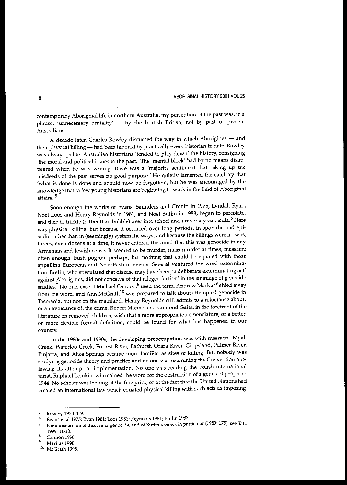contemporary Aboriginal life in northern Australia, my perception of the past was, in a phrase, 'unnecessary brutality'  $-$  by the brutish British, not by past or present **Australians.**

A decade later, Charles Rowley discussed the way in which Aborigines - and their physical killing - had been ignored by practically every historian to date. Rowley was always polite. Australian historians 'tended to play down' the history, consigning 'the moral and political issues to the past.' The 'mental block' had by no means disappeared when he was writing: there was a 'majority sentiment that raking up the misdeeds of the past serves no good purpose.' He quietly lamented the catchcry that 'what is done is done and should now be forgotten', but he was encouraged by the knowledge that 'a few young historians are beginning to work in the field of Aboriginal affairs.'5

Soon enough the works of Evans, Saunders and Cronin in 1975, Lyndall Ryan, Noel Loos and Henry Reynolds in 1981, and Noel Butlin in 1983, began to percolate, and then to trickle (rather than bubble) over into school and university curricula.<sup>6</sup> Here was physical killing, but because it occurred over long periods, in sporadic and epi**sodic rather than in (seemingly) systematic ways, and because the killings were in twos, threes, even dozens at a time, it never entered the mind that this was genocide in any Armenian and Jewish sense. It seemed to be murder, mass murder at times, massacre** often enough, bush pogrom perhaps, but nothing that could be equated with those **appalling European and Near-Eastern events. Several ventured the word extermina**tion. Butlin, who speculated that disease may have been 'a deliberate exterminating act' against Aborigines, did not conceive of that alleged 'action' in the language of genocide studies.<sup>7</sup> No one, except Michael Cannon, $8$  used the term. Andrew Markus $9$  shied away from the word, and Ann McGrath<sup>10</sup> was prepared to talk about attempted genocide in Tasmania, but not on the mainland. Henry Reynolds still admits to a reluctance about, **or an avoidance of, the crime. Robert Manne and Raimond Gaita, in the forefront of the literature on removed children, wish that a more appropriate nomenclature, or a better** or more flexible formal definition, could be found for what has happened in our country.

In the 1980s and 1990s, the developing preoccupation was with massacre. Myall Creek, Waterloo Creek, Forrest River, Bathurst, Orara River, Gippsland, Palmer River, Pinjarra, and Alice Springs became more familiar as sites of killing. But nobody was **studying genocide theory and practice and no one was examining the Convention out**lawing its attempt or implementation. No one was reading the Polish international jurist, Raphael Lemkin, who coined the word for the destruction of a genus of people in 1944. No scholar was looking at the fine print, or at the fact that the United Nations had created an international law which equated physical killing with such acts as imposing

 $\frac{5.}{6.}$  Rowley 1970: 1-9.

<sup>6.</sup> Evans et al1975; Ryan 1981; Loos 1981; Reynolds 19S1; Butlin 1983.

For a discussion of disease as genocide, and of Butlin's views in particular (1983: 175), see Tatz 1999: 11-13.

<sup>8.</sup> Cannon 1990.

**<sup>9.</sup> Markus 1990.**

**<sup>10.</sup> McGrath 1995.**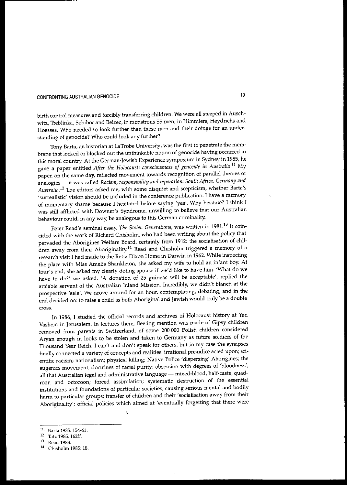birth control measures and forcibly transferring children. We were all steeped in Auschwitz, Treblinka, Sobibor and Belzec, in monstrous SS men, in Himrnlers, Heydrichs and Hoesses. Who needed to look further than these men and their doings for an understanding of genocide? Who could look any further?

**Tony Barta, an historian at LaTrobe University, was the first to penetrate the membrane that locked or blocked out the unthinkable notion of genocide having occurred in** this moral country. At the German-Jewish Experience symposium in Sydney in 1985, he gave <sup>a</sup> paper entitled *After the Holocaust: consciousness of genocide in Australia.l1* My **paper, on the same day, reflected movement towards recognition of parallel themes or** analogies - it was called *Racism, responsibility and reparation: South Africa, Germany and Australia.1***<sup>2</sup> The editors asked me, with some disquiet and scepticism, whether Barta's** 'surrealistic' vision should be included in the conference publication. I have a memory of momentary shame because I hesitated before saying 'yes'. Why hesitate? I think I was still afflicted with Downer's Syndrome, unwilling to believe that our Australian behaviour could, in any way, be analogous to this German criminality.

Peter Read's seminal essay, *The Stolen Generations,* was written in 1981,13 It coincided with the work of Richard Chisholm, who had been writing about the policy that pervaded the Aborigines Welfare Board, certainly from 1912: the socialisation of children away from their Aboriginality.14 Read and Chisholrn triggered a memory of a research visit I had made to the Retta Dixon Home in Darwin in 1962. While inspecting the place with Miss Amelia ShankIeton, she asked my wife to hold an infant boy. At tour's end, she asked my clearly doting spouse if we'd like to have him. 'What do we have to do?' we asked. 'A donation of 25 guineas will be acceptable', replied the amiable servant of the Australian Inland Mission. Incredibly, we didn't blanch at the prospective 'sale'. We drove around for an hour, contemplating, debating, and in the end decided no: to raise a child as both Aboriginal and Jewish would truly be a double **cross.**

In 1986, I studied the official records and archives of Holocaust history at Yad Vashem in Jerusalem. In lectures there, fleeting mention was made of Gipsy children removed from parents in Switzerland, of some 200000 Polish children considered Aryan enough in looks to be stolen and taken to Germany as future soldiers of the Thousand Year Reich. I can't and don't speak for others, but in my case the synapses finally connected a variety of concepts and realities: irrational prejudice acted upon; sci**entific racism; nationalism; physical killing; Native Police 'dispersing' Aborigines; the** eugenics movement; doctrines of racial purity; obsession with degrees of 'bloodness'; all that Australian legal and administrative language — mixed-blood, half-caste, quad**roon and octoroon; forced assimilation; systematic destruction of the essential institutions and foundations of particular societies; causing serious mental and bodily harm to particular groups; transfer of children and their 'socialisation away from their** Aboriginality'; official policies which aimed at 'eventually forgetting that there were

**<sup>11.</sup> Barta 1985: 154-6l.**

<sup>12.</sup> Tatz 1985, 162f1.

<sup>13.</sup> Read 1983.

<sup>14.</sup> Chisholm 1985, 18.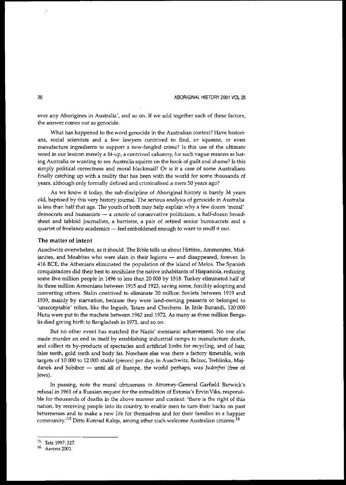ever any Aborigines in Australia', and so on. If we add together each of these factors, **the answer comes out as genocide.**

What has happened to the word genocide in the Australian context? Have histori**ans, social scientists and a few lawyers contrived to find, or squeeze, or even manufacture ingredients to support a new-fangled crime? Is this use of the ultimate word in our lexicon merely a fit-up, a contrived calumny, for such vague reasons as hat**ing Australia or wanting to see Australia squirm on the hook of guilt and shame? Is this simply political correctness and moral blackmail? Or is it a case of some Australians finally catching up with a reality that has been with the world for some thousands of years, although only formally defined and criminalised a mere 50 years ago?

As we know it today, the sub-discipline of Aboriginal history is barely 34 years old, baptised by this very history journal. The serious analysis of genocide in Australia is less than half that age. The youth of both may help explain why a few dozen 'moral' **democrats and humanists - a coterie of conservative politicians, a half-dozen broadsheet and tabloid journalists, a barrister, a pair of retired senior bureaucrats and a** quartet of freelance academics - feel emboldened enough to want to snuff it out.

#### The matter of intent

Auschwitz overwhelms, as it should. The Bible tells us about Hittites, Ammonites, Mid**ianites, and Moabites who were slain in their legions - and disappeared, forever. In** 416 BCE, the Athenians eliminated the population of the island of Melos. The Spanish conquistadors did their best to annihilate the native inhabitants of Hispaniola, reducing some five million people in 1496 to less than 20 000 by 1518. Turkey eliminated half of its three million Armenians between 1915 and 1923, saving some, forcibly adopting and converting others. Stalin contrived to eliminate 20 million Soviets between 1919 and 1939, mainly by starvation, because they were land-owning peasants or belonged to 'unacceptable' tribes, like the Ingush, Tatars and Chechens. In little Burundi, 120000 Hutu were put to the machete between 1962 and 1972. As many as three million Bengalis died giving birth to Bangladesh in 1971, and so on.

**But no other event has matched the Nazis' messianic achievement. No one else** made murder an end in itself by establishing industrial camps to manufacture death, and collect its by-products of spectacles and artificial limbs for recycling, and of hair, false teeth, gold teeth and body fat. Nowhere else was there a factory timetable, with targets of 10 000 to 12000 *stukke* (pieces) per day, in Auschwitz, Beizec, Treblinka, Majdanek and Sobibor - until all of Europe, the world perhaps, was *Judenfrei* (free of Jews).

In passing, note the moral obtuseness in Attorney-General Garfield Barwick's **refusal in 1961 of a Russian request for the extradition of Estonia's ErvinViks, responsi**ble for thousands of deaths in the above manner and context: 'there is the right of this nation, by receiving people into its country, to enable men to turn their backs on past **bitternesses and to make a new life for themselves and for their families in a happier**  $16$  **Community.**<sup> $15$ </sup> Ditto Konrad Kalejs, among other such welcome Australian citizens.<sup>16</sup>

<sup>15.</sup> Tatz 1997: 327.

**<sup>16.</sup> Aarons 2001.**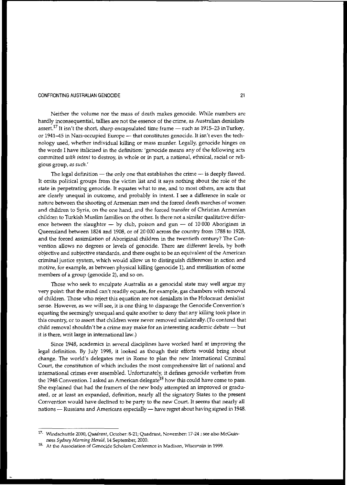**Neither the volume nor the mass of death makes genocide. VVhile numbers are** hardly inconsequential, tallies are not the essence of the crime, as Australian denialists assert.<sup>17</sup> It isn't the short, sharp encapsulated time frame  $-$  such as 1915-23 in Turkey, **or 1941-45 in Nazi-occupied Europe - that constitutes** genocide. It **isn't even the tech**nology used, whether individual killing or mass murder. Legally, genocide hinges on the words I have italicised in the definition: 'genocide means any of the following acts **committed** *with intent* **to destroy, in whole or in part, a national, ethnical, racial or religious group,** *as such.'*

The legal definition  $-$  the only one that establishes the crime  $-$  is deeply flawed. It omits political groups from the victim list and it says nothing about the role of the state in perpetrating genocide. It equates what to me, and to most others, are acts that are clearly unequal in outcome, and probably in intent. I see a difference in scale or nature between the shooting of Armenian men and the forced death marches of women and children to Syria, on the one hand, and the forced transfer of Christian Armenian children to Turkish Muslim families on the other. Is there not a similar qualitative difference between the slaughter  $-$  by club, poison and gun  $-$  of 10000 Aborigines in Queensland between 1824 and 1908, or of 20 000 across the country from 1788 to 1928, and the forced assimilation of Aboriginal children in the twentieth century? The Convention allows no degrees or levels of genocide. There are different levels, by both objective and subjective standards, and there ought to be an equivalent of the American criminal justice system, which would allow us to distinguish differences in action and motive, for example, as between physical killing (genocide 1), and sterilisation of some members of a group (genocide 2), and so on.

Those who seek to exculpate Australia as a genocidal state may well argue my very point: that the mind can't readily equate, for example, gas chambers with removal of children. Those who reject this equation are not denialists in the Holocaust denialist **sense. However, as we will see, it is one thing to disparage the Genocide Convention's** equating the seemingly unequal and quite another to deny that any killing took place in **this country, or to assert that children were never removed** unilaterally. (To **contend that** child removal shouldn't be a crime may make for an interesting academic debate - but **it is there, writ large in** international law.)

Since 1948, academics in several disciplines have worked hard at improving the legal definition. By July 1998, it looked as though their efforts would bring about change. The world's delegates met in Rome to plan the new International Criminal **Court, the constitution of which includes the most comprehensive list of national and** international crimes ever assembled. Unfortunately, it defines genocide verbatim from the 1948 Convention. I asked an American delegate<sup>18</sup> how this could have come to pass. She explained that had the framers of the new body attempted an improved or graduated, or at least an expanded, definition, nearly all the signatory States to the present Convention would have declined to be party to the new Court. It seems that nearly all nations  $-$  Russians and Americans especially  $-$  have regret about having signed in 1948.

**<sup>17.</sup> Windschuttle 2000,** *Quadrant,* **October: 8-21; Quadrant, November: 17-24; see also McGuin**ness *Sydney Morning Herald,* 14 September, 2000.

**<sup>18.</sup> At the Association of Genocide Scholars Conference in Madison, Wisco'1.sin in 1999.**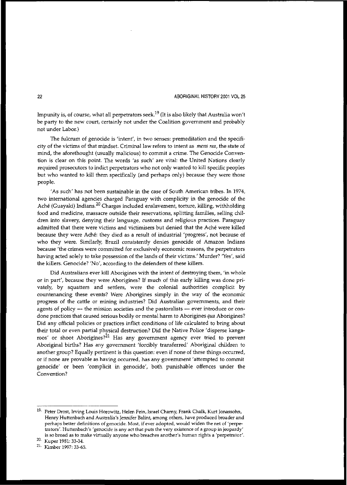Impunity is, of course, what all perpetrators seek.<sup>19</sup> (It is also likely that Australia won't be party to the new court, certainly not under the Coalition government and probably not under Labor.)

**The fulcrum of genocide is 'intent', in hvo senses: premeditation and the specificity of the victims of that mindset.** Criminal law **refers to intent as** *mens rea,* **the state of** mind, the aforethought (usually malicious) to commit a crime. The Genocide Conven**tion is clear on this point. The words 'as such' are vital: the United Nations clearly** required prosecutors to indict perpetrators who not only wanted to kill specific peoples but who wanted to kill them specifically (and perhaps only) because they were those people.

'As such' has not been sustainable in the case of South American tribes. In 1974, two international agencies charged Paraguay with complicity in the genocide of the Aché (Guayaki) Indians.<sup>20</sup> Charges included enslavement, torture, killing, withholding food and medicine, massacre outside their reservations, splitting families, selling chil**dren into slavery, denying their language, customs and religious practices. Paraguay** admitted that there were victims and victimisers but denied that the Ache were killed because they were Ache: they died as a result of industrial 'progress', not because of who they were. Similarly, Brazil consistently denies genocide of Amazon Indians **because 'the crimes were committed for exclusively economic reasons, the perpetrators** having acted solely to take possession of the lands of their victims.' Murder? 'Yes', said the killers. Genocide? 'No', according to the defenders of these killers.

Did Australians ever kill Aborigines with the intent of destroying them, 'in whole or in part', because they were Aborigines? If much of this early killing was done privately, by squatters and settlers, were the colonial authorities complicit by **countenancing these events? Were Aborigines simply in the way of the economic progress of the cattle or mining industries? Did Australian governments, and their agents of policy - the mission societies and the pastoralists - ever introduce or condone practices that caused serious bodily or mental harm to Aborigines** *qua* **Aborigines?** Did any official policies or practices inflict conditions of life calculated to bring about their total or even partial physical destruction? Did the Native Police 'disperse kanga**roos' or shoot Aborigines?21 Has any government agency ever tried to prevent** Aboriginal births? Has any government 'forcibly transferred' Aboriginal children to another group? Equally pertinent is this question: even if none of these things occurred, **or if none are provable as having occurred, has any government'attempted to commit** genocide' or been 'complicit in genocide', both punishable offences under the **Convention?**

20. Kuper 1981: 33-34.

21. Kimber 1997: 33-65.

**<sup>19.</sup> Peter Drost, Irving Louis Horowitz, Helen Fein, Israel Chamy, Frank Chalk, Kurt Jonassohn, Henry Huttenbach and Australia's Jennifer Balmt, among others, have produced broader and perhaps better definitions of genocide. Most, if ever adopted, would widen the net of 'perpetrators'. Huttenbach's 'genocide is any act that puts the very existence of a group in jeopardy'** is **so broad as to make virtually anyone who breaches another's human rights a 'perpetrator'.**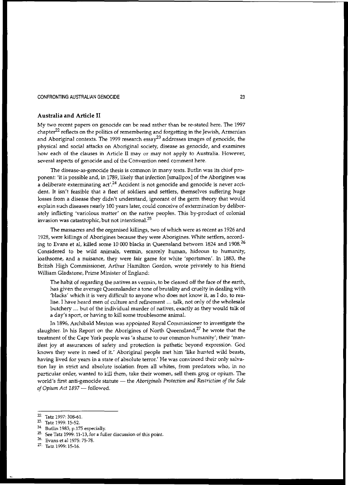#### Australia and Article II

My two recent papers on genocide can be read rather than be re-stated here. The 1997 chapter<sup>22</sup> reflects on the politics of remembering and forgetting in the Jewish, Armenian and Aboriginal contexts. The 1999 research essay<sup>23</sup> addresses images of genocide, the physical and social attacks on Aboriginal society, disease as genocide, and examines how each of the clauses in Article II mayor may not apply to Australia. However, **several aspects of genocide and of the Convention need comment here.**

**The disease-as-genocide thesis is common in many texts. Butlin was its chief pro**ponent: 'it is possible and, in 1789, likely that infection [smallpox] of the Aborigines was **a deliberate exterminating act,.24 Accident is not genocide and genocide is never acci**dent. It isn't feasible that a fleet of soldiers and settlers, themselves suffering huge losses from a disease they didn't understand, ignorant of the germ theory that would explain such diseases nearly 100 years later, could conceive of extermination by deliberately inflicting 'variolous matter' on the native peoples. This by-product of colonial **invasion was catastrophic, but not intentional.<sup>25</sup>**

The massacres and the organised killings, two of which were as recent as 1926 and 1928, were killings of Aborigines because they were Aborigines. White settlers, according to Evans et al, killed some 10 000 blacks in Queensland between 1824 and 1908.<sup>26</sup> **Considered to be wild animals, vermin, scarcely human, hideous to humanity, loathsome, and a nuisance, they were fair game for white 'sportsmen', In 1883, the** British High Commissioner, Arthur Hamilton Gordon, wrote privately to his friend William Gladstone, Prime Minister of England:

The habit of regarding the natives as vermin, to be cleared off the face of the earth, has given the average Queenslander a tone of brutality and cruelty in dealing with 'blacks' which it is very difficult to anyone who does not know it, as I do, to realise. I have heard men of culture and refinement ... talk, not only of the wholesale butchery ... but of the individual murder of natives, exactly as they would talk of a day's sport, or haVing to kill some troublesome animal.

In 1896, Archibald Meston was appointed Royal Commissioner to investigate the slaughter. In his Report on the Aborigines of North Queensland, $27$  he wrote that the **treatment of the Cape York people was 'a shame to our common humanity'; their 'man**ifest joy at assurances of safety and protection is pathetic beyond expression. God knows they were in need of it.' Aboriginal people met him 'like hunted wild beasts, **having lived for years in a state of absolute terror.' He was convinced their only salvation lay in strict and absolute isolation from all whites, from predators who, in no** particular order, wanted to kill them, take their women, sell them grog or opium. The world's first anti-genocide statute - the *Aboriginals Protection and Restriction of the Sale of Opium Act* 1897 - followed.

<sup>22.</sup> Tatz 1997: 308-6l.

<sup>23.</sup> Tatz 1999: 15-52.

<sup>24.</sup> **Butlin 1983, p.175 especially.**

<sup>25.</sup> **See Tatz 1999: 11-13, for a fuller discussion of this point.**

<sup>26.</sup> **Evans et a11975: 75-78.**

<sup>27.</sup> Tatz 1999: 15-16.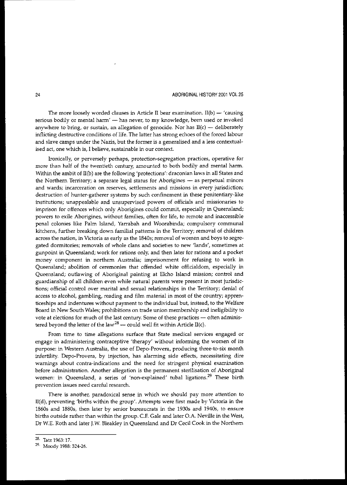**The more loosely worded clauses in Article II bear examination. II(b) - 'causing serious bodily or mental hann' - has never, to my knowledge, been used or invoked** anywhere to bring, or sustain, an allegation of genocide. Nor has  $II(c)$  - deliberately inflicting destructive conditions of life. The latter has strong echoes of the forced labour **and slave camps under the Nazis, but the former is a generalised and a less contextualised act, one which is, I believe, sustainable in our context.**

**Ironically, or perversely perhaps, protection-segregation practices, operative for** more than half of the twentieth century, amounted to both bodily and mental harm. Within the ambit of II(b) are the following 'protections': draconian laws in all States and the Northern Territory; a separate legal status for Aborigines - as perpetual minors **and wards; incarceration on reserves, settlements and missions in every jurisdiction;** destruction of hunter-gatherer systems by such confinement in these penitentiary-like **institutions; unappealable and unsupervised powers of officials and missionaries to** imprison for offences which only Aborigines could commit, especially in Queensland; **powers to exile Aborigines, without families, often for life, to remote and inaccessible** penal colonies like Palm Island, Yarrabah and Woorabinda; compulsory communal kitchens, further breaking down familial patterns in the Territory; removal of children **across the nation, in Victoria as early as the 1840s; removal of women and boys to segregated dormitories; removals of whole clans and societies to new 'lands', sometimes at** gunpoint in Queensland; work for rations only, and then later for rations and a pocket **money component in northern Australia; imprisonment for refusing to work in** Queensland; abolition of ceremonies that offended white officialdom, especially in Queensland; outlawing of Aboriginal painting at Elcho Island mission; control and **guardianship of all children even while natural parents were present in most jurisdictions; official control over marital and sexual relationships in the Territory; denial of** access to alcohol, gambling, reading and film material in most of the country; appren**ticeships and indentures without payment to the individual but, instead, to the Welfare** Board in New South Wales; prohibitions on trade union membership and ineligibility to vote at elections for much of the last century. Some of these practices - often administered beyond the letter of the law<sup>28</sup> - could well fit within Article II(c).

**From time to time allegations surface that State medical services engaged or** engage in administering contraceptive 'therapy' without informing the women of its **purpose: in Western Australia, the use of Depo-Provera, producing three-to-six month** infertility. Depo-Provera, by injection, has alarming side effects, necessitating dire **warnings about contra-indications and the need for stringent physical examination** before administration. Another allegation is the permanent sterilisation of Aboriginal women: in Queensland, a series of 'non-explained' tubal ligations.<sup>29</sup> These birth **prevention issues need careful research.**

**There is another, paradOXical sense in which we should pay more attention to** ll(d), preventing 'births within the group'. Attempts were first made by Victoria in the 1860s and 1880s, then later by senior bureaucrats in the 1930s and 1940s, to ensure births outside rather than within the group. C.F. Gale and later O.A. Neville in the West, Dr W.E. Roth and later j.w. Bleakley in Queensland and Dr Cecil Cook in the Northern

<sup>28.</sup> Tatz 1963: 17.

<sup>29</sup> Moody 1988: 324-26.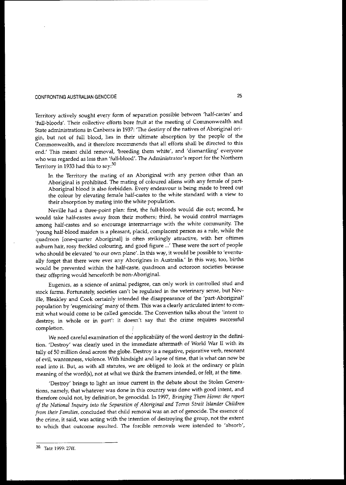**Territory actively sought every form of separation possible between 'half-castes' and** 'full-bloods'. Their collective efforts bore fruit at the meeting of Commonwealth and State administrations in Canberra in 1937: 'The destiny of the natives of Aboriginal origin, but not of full blood, lies in their ultimate absorption by the people of the **Commonwealth, and it therefore recommends that all efforts shall be directed to this** end.' This meant child removal, 'breeding them white', and 'dismantling' everyone who was regarded as less than 'full-blood'. The Administrator's report for the Northern Territory in 1933 had this to say:30

In the Territory the mating of an Aboriginal with any person other than an Aboriginal is prohibited. The mating of coloured aliens with any female of part-Aboriginal blood is also forbidden. Every endeavour is being made to breed out the colour by elevating female half-castes to the white standard with a view to their absorption by mating into the white population.

Neville had a three-point plan: first, the full-bloods would die out; second, he **would take half-castes away from their mothers; third, he would control marriages among half-castes and so encourage intermarriage with the white community. The** 'young half-blood maiden is a pleasant, placid, complacent person as a rule, while the quadroon [one-quarter Aboriginal] is often strikingly attractive, with her oftimes auburn hair, rosy freckled colouring, and good figure ...' These were the sort of people who should be elevated 'to our own plane'. In this way, it would be possible to 'eventually forget that there were ever any Aborigines in Australia.' In this way, too, births **would be prevented within the half-caste, quadroon and octoroon societies because** their offspring would henceforth be non-Aboriginal.

**Eugenics, as a science of animal pedigree, can only work in controlled stud and** stock farms. Fortunately, societies can't be regulated in the veterinary sense, but Neville, Bleakley and Cook certainly intended the disappearance of the 'part-Aboriginal' population by 'eugenicising' many of them. This was a clearly articulated intent to commit what would come to be called genocide. The Convention talks about the 'intent to **destroy, in whole or in part': it doesn't say that the crime requires successful** completion.

We need careful examination of the applicability of the word destroy in the definition. 'Destroy' was clearly used in the immediate aftermath of World War II with its tally of 50 million dead across the globe. Destroy is a negative, pejorative verb, resonant of evil, wantonness, violence. With hindsight and lapse of time, that is what can now be **read into it. But, as with all statutes, we are obliged to look at the ordinary or plain** meaning of the word(s), not at what we think the framers intended, Or feit, at the time.

'Destroy' brings to light an issue current in the debate about the Stolen Genera**tions, namely, that whatever was done in this country was done with good intent, and** therefore could not, by definition, be genocidal. In 1997, *Bringing Them Home: the report of the National Inquiry into the Separation of Aboriginal and Torres Strait Islander Children from their Families,* **concluded that child removal was an act of genocide. The essence of** the crime, it said, was acting with the intention of destroying the group, not the extent **to which that outcome resulted. The forcible removals were intended to 'absorb',**

<sup>30</sup> Tatz 1999: 27ft.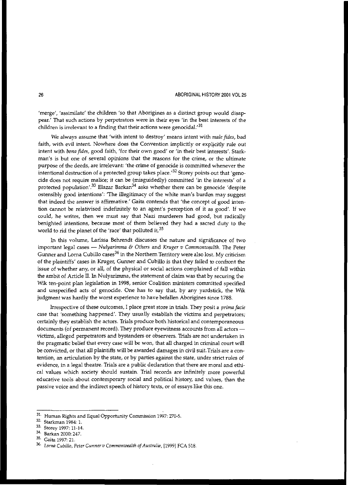'merge', 'assimilate' the children 'so that Aborigines as a distinct group would disap**pear.' That such actions by perpetrators were in their eyes 'in the best interests of the children is irrelevant to a finding that their actions were genocidal.,31**

**We always assume that 'with intent to destroy' means intent with** *male fides,* **bad** faith, with evil intent. Nowhere does the Convention implicitly or explicitly rule out intent with *bona fides,* good faith, 'for their own good' or 'in their best interests'. Stark**man's is but one of several opinions that the reasons for the crime, or the ultimate purpose of the deeds, are irrelevant: 'the crime of genocide is committed whenever the** intentional destruction of a protected group takes place.'32 Storey points out that 'genocide does not require malice; it can be (misguidedly) committed 'in the interests' of a protected population<sup>'33</sup> Elazar Barkan<sup>34</sup> asks whether there can be genocide 'despite ostensibly good intentions': 'The illegitimacy of the white man's burden may suggest that indeed the answer is affirmative.' Gaita contends that 'the concept of good intention cannot be relativised indefinitely to an agent's perception of it as good'. If we **could, he writes, then we must say that Nazi murderers had good, hut radically** benighted intentions, because most of them believed they had a sacred duty to the world to rid the planet of the 'race' that polluted it.<sup>35</sup>

In this volume, Larissa Behrendt discusses the nature and significance of two important legal cases - *NUlyarimma* & *Others* and *Kruger v Commonwealth.* The Peter **Gurmer and Loma Cuhillo cases<sup>36</sup> in the Northern Territory were also lost. My criticism** of the plaintiffs' cases in Kruger, Gunner and Cubillo is that they failed to confront the issue of whether any, or all, of the physical or social actions complained of fall within the ambit of Article IT. In Nulyarimma, the statement of claim was that by securing the Wik ten-point plan legislation in 1998, senior Coalition ministers committed specified and unspecified acts of genocide. One has to say that, by any yardstick, the Wik judgment was hardly the worst experience to have befallen Aborigines since 1788.

Irrespective of these outcomes, I place great store in trials. They posit a *prima facie* case that 'something happened'. They usually establish the victims and perpetrators; certainly they establish the actors. Trials produce both historical and contemporaneous **documents (of permanent record). They produce eyewitness accounts from all actors**victims, alleged perpetrators and bystanders or observers. Trials are not undertaken in the pragmatic belief that every case will be won, that all charged in criminal court will be convicted, or that all plaintiffs will be awarded damages in civil suit.Trials are a contention, an articulation by the state, or by parties against the state, under strict rules of evidence, in a legal theatre. Trials are a public declaration that there are moral and ethical values which society should sustain. Trial records are infinitely more powerful **educative tools about contemporary social and political history, and values, than the** passive voice and the indirect speech of history texts, or of essays like this one.

<sup>31.</sup> Human Rights and Equal Opportunity Commission 1997, 270-5.

**<sup>32.</sup> Starkman 1984: 1.**

<sup>33.</sup> Storey 1997: 11-14.

<sup>34.</sup> Barkan 2000: 247.

<sup>35.</sup> Caita 1997, 21.

*<sup>36.</sup> Lomn Cubillo, Peter Gunner v Commonwealth ofAustralin,* **[1999] FCA 518.**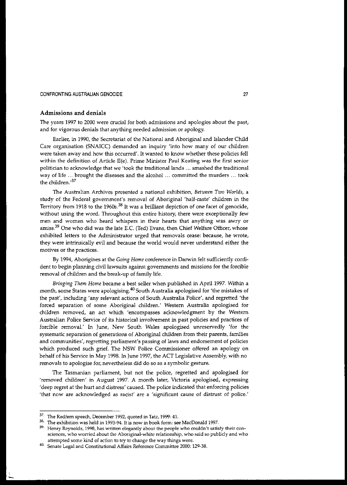## Admissions and denials

The years 1997 to 2000 were crucial for both admissions and apologies about the past, and for vigorous denials that anything needed admission or apology.

Earlier, in 1990, the Secretariat of the National and Aboriginal and Islander Child Care organisation (SNAICC) demanded an inquiry 'into how many of our children were taken away and how this occurred'. It wanted to know whether these policies fell within the definition of Article II(e). Prime Minister Paul Keating was the first senior politician to acknowledge that we 'took the traditional lands ... smashed the traditional way of life ... brought the diseases and the alcohol ... committed the murders ... took the children.<sup>37</sup>

**The Australian Archives presented a national exhibition,** *Between Two Worlds,* **a** study of the Federal government's removal of Aboriginal 'half-caste' children in the Territory from 1918 to the 1960s.<sup>38</sup> It was a brilliant depiction of one facet of genocide, **without using the word. Throughout this entire history, there were exceptionally few men and women who heard whispers in their hearts that anything was awry or** amiss.<sup>39</sup> One who did was the late E.C. (Ted) Evans, then Chief Welfare Officer, whose **exhibited letters to the Administrator urged that removals cease: because, he wrote,** they were intrinsically evil and because the world would never understand either the **motives or the practices.**

By 1994, Aborigines at the *Going Home* conference in Darwin felt sufficiently confident to begin planning civil lawsuits against governments and missions for the forcible removal of children and the break-up of family life.

*Bringing Them Home* became a best seller when published in April 1997. Within a month, some States were apologising.<sup>40</sup> South Australia apologised for 'the mistakes of the past', including 'any relevant actions of South Australia Police', and regretted 'the forced separation of some Aboriginal children.' Western Australia apologised for children removed, an act which 'encompasses acknowledgment by the Western **Australian Police Service of its historical involvement in past policies and practices of** forcible removal.' In June, New South Wales apologised unreservedly 'for the **systematic separation of generations of Aboriginal children from their parents, families and communities', regretting parliament's passing of laws and endorsement of policies** which produced such grief. The NSW Police Commissioner offered an apology on behalf of his Service in May 1998. In June 1997, the ACT Legislative Assembly, with no **removals to apologise for, nevertheless did do so as a symbolic gesture.**

The Tasmanian parliament, but not the police, regretted and apologised for 'removed children' in August 1997. A month later, Victoria apologised, expressing 'deep regret at the hurt and distress' caused. The police indicated that enforcing policies **'that now are acknowledged as racist' are a 'significant cause of distrust of police.'**

<sup>37.</sup> **The Redfern speech, December 1992, quoted in Tatz, 1999: 4l.**

<sup>38.</sup> **The exhibition was held in 1993-94. It is now in book form: see MacDonald 1997.**

<sup>39.</sup> **Henry Reynolds, 1998, has written elegantly about the people who couldn't satisfy their consciences, who worried about the Aboriginal-white relationship, who said so publicly and who attempted some kind of action to try to change the way things were.**

**<sup>40.</sup> Senate Legal and Constih1tional Affairs Reference Committee 2000: 129-38.**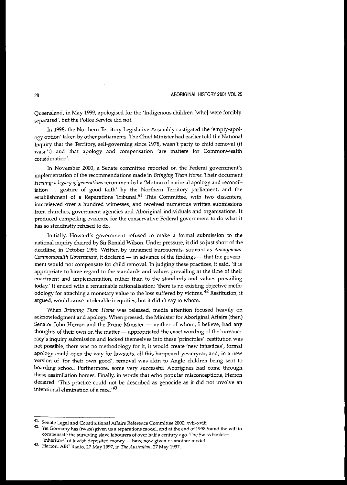Queensland, in May 1999, apologised for the 'Indigenous children [who] were forcibly separated', but the Police Service did not.

In 1998, the Northern Territory Legislative Assembly castigated the 'empty-apology option' taken by other parliaments. The Chief Minister had earlier told the National Inquiry that the Territory, self-governing since 1978, wasn't party to child removal (it **wasn't) and that apology and compensation 'are matters for Commonwealth consideration'.**

**In November 2000, a Senate committee reported on the Federal government's implementation of the recommendations made in** *Bringing Them Home.* **Their document** *Healing: a legacy ofgenerations* recommended a 'Motion of national apology and reconciliation ... gesture of good faith' by the Northern Territory parliament, and the establishment of a Reparations Tribunal.<sup>41</sup> This Committee, with two dissenters, **interviewed over a hundred witnesses, and received numerous written submissions** from churches, government agencies and Aboriginal individuals and organisations. It **produced compelling evidence for the conservative Federal government to do what it** has so steadfastly refused to do.

Initially, Howard's government refused to make a formal submission to the national inquiry chaired by Sir Ronald Wilson. Under pressure, it did so just short of the **deadline, in October 1996. Written by unnamed bureaucrats, saurced as** *Anonymous: Commonwealth Government,* it declared — in advance of the findings — that the govern**ment would not compensate for child removal. In judging these practices, it said, 'it is** appropriate to have regard to the standards and values prevailing at the time of their **enactment and implementation, rather than to the standards and values prevailing** today: It ended with a remarkable rationalisation: 'there is no existing objective methodology for attaching a monetary value to the loss suffered by victims.<sup>42</sup> Restitution, it argued, would cause intolerable inequities, but it didn't say to whom.

When *Bringing Them Home* was released, media attention focused heavily on acknowledgment and apology. When pressed, the Minister for Aboriginal Affairs (then) Senator John Herron and the Prime Minister - neither of whom, I believe, had any thoughts of their own on the matter  $-$  appropriated the exact wording of the bureaucracy's inquiry submission and locked themselves into these 'principles': restitution was not possible, there was no methodology for it, it would create 'new injustices', formal apology could open the way for lawsuits, all this happened yesteryear, and, in a new **version of 'for their own good', removal was akin to Anglo children being sent to** boarding school. Furthermore, some very successful Aborigines had come through **these assimilation homes. Finally, in words that echo popular misconceptions, Herron** declared: 'This practice could not be described as genocide as it did not involve an **intentional elimination of a race:<sup>43</sup>**

**<sup>41.</sup> Senate Legal and Constitutional Affairs Reference Committee 2000: xvii-xviii.**

**<sup>42.</sup> Yet Germany has (twice) given usa reparations model, and at the end of1998 found the will to compensate the surviving slave labourers of over half a century ago. The Swiss banks- 'inheritors' of Jewish deposited money - have now given us another model.**

**<sup>43.</sup> Herron, ABC Radio, 27 May 1997, in** *The Australian,* **27 May 1997.**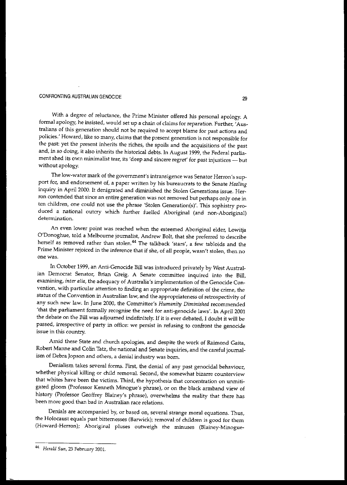With a degree of reluctance, the Prime Minister offered his personal apology. A formal apology, he insisted, would set up a chain of claims for reparation. Further, 'Aus**tralians of this generation should not be required to accept blame for past actions and** policies.' Howard, like so many, claims that the present generation is not responsible for the past: yet the present inherits the riches, the spoils and the acquisitions of the past and, in so doing, it also inherits the historical debts. In August 1999, the Federal parlia**ment shed its own minimalist tear, its 'deep and sincere regret' for past injustices - but** without apology.

**The low-water mark of the government's intransigence was Senator Herron's support fOf, and endorsement of, a paper written by his bureaucrats to the Senate** *Healing* inquiry in April 2000. It denigrated and diminished the Stolen Generations issue. Her**ron contended that since an entire generation was not removed but perhaps only one in** ten children, one could not use the phrase 'Stolen Generation(s)'. This sophistry produced a national outcry which further fuelled Aboriginal (and non-Aboriginal) **determination.**

An even lower point was reached when the esteemed Aboriginal elder, Lowitja O'Donoghue, told a Melbourne journalist, Andrew Bolt, that she preferred to describe herself as removed rather than stolen.<sup>44</sup> The talkback 'stars', a few tabloids and the **Prime Minister rejoiced in the inference that if she, of all people, wasn't stolen, then no one was.**

In October 1999, an Anti-Genocide Bill was introduced privately by West Austral**ian Democrat Senator, Brian Greig. A Senate committee inquired into the Bill, examining, inter alia, the adequacy of Australia's implementation of the Genocide Con**vention, with particular attention to finding an appropriate definition of the crime, the status of the Convention in Australian law, and the appropriateness of retrospectivity of any such new law. In June 2000, the Committee's *Humanity Diminished* recommended 'that the parliament formally recognise the need for anti-genocide laws'. In April 2001 the debate on the Bill was adjourned indefinitely. If it is ever debated, I doubt it will be passed, irrespective of party in office: we persist in refusing to confront the genocide issue in this country.

Amid these State and church apologies, and despite the work of Raimond Gaita, Robert Manne and Colin Tatz, the national and Senate inquiries, and the careful journal**ism of Debra Japson and others, a denial industry was born.**

Denialism takes several forms. First, the denial of any past genocidal behaviour, **whether physical killing or child removal. Second, the somewhat bizarre counterview** that whites have been the victims. Third, the hypothesis that concentration on unmitigated gloom (Professor Kenneth Minogue's phrase), or on the black armband view of history (Professor Geoffrey B1ainey's phrase), overwhelms the reality that there has **been more good than bad in Australian race relations.**

**Denials are accompanied by, or based on, several strange moral equations. Thus,** the Holocaust equals past bittemesses (Barwick); removal of children is good for them (Howard-Herron); Aboriginal pluses outweigh the minuses (Blainey-Minogue-

*<sup>44.</sup> Herald Sun,* **23 February 2001.**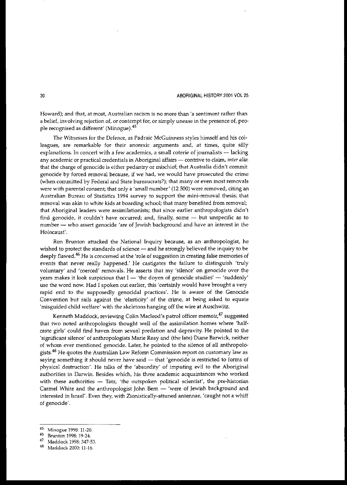**Howard); and that, at most, Australian racism is no more than 'a sentiment rather than** a belief, involving rejection of, or contempt for, or simply unease in the presence of, people recognised as different' (Minogue).<sup>45</sup>

The Witnesses for the Defence, as Padraic McGuinness styles himself and his col**leagues, are remarkable for their anorexic arguments and, at times, quite silly explanations. In concert with a few academics, a small coterie of journalists - lacking any academic or practical credentials in Aboriginal affairs - contrive to claim,** *inter alia:* that the charge of genocide is either pedantry or mischief; that Australia didn't commit **genocide by forced removal because, if we had, we would have prosecuted the crime** (when committed by Federal and State bureaucrats?); that many or even most removals **were with parental consent; that only a 'small number' (12 500) were removed, citing an Australian Bureau of Statistics 1994 survey to support the mini-removal thesis; that** removal was akin to white kids at boarding school; that many benefited from removal; **that Aboriginal leaders were assimilationists; that since earlier anthropologists didn't** find genocide, it couldn't have occurred; and, finally, some  $-$  but unspecific as to **number - who assert genocide 'are of Jewish background and have an interest in the Holocaust'.**

Ron Brunton attacked the National Inquiry because, as an anthropologist, he wished to protect the standards of science - and he strongly believed the inquiry to be deeply flawed.<sup>46</sup> He is concerned at the 'role of suggestion in creating false memories of events that never really happened.' He castigates the failure to distinguish 'truly **voluntary' and 'coerced' removals. He asserts that my 'silence' on genocide over the** years makes it look suspicious that I  $-$  'the doyen of genocide studies'  $-$  'suddenly' use the word now. Had I spoken out earlier, this 'certainly would have brought a very rapid end to the supposedly genocidal practices'. He is aware of the Genocide Convention but rails against the 'elasticity' of the crime, at being asked to equate 'misguided child welfare' with the skeletons hanging off the wire at Auschwitz.

Kenneth Maddock, reviewing Colin Macleod's patrol officer memoir, <sup>47</sup> suggested that two noted anthropologists thought well of the assimilation homes where 'halfcaste girls' could find haven from sexual predation and depravity. He pointed to the 'significant silence' of anthropologists Marie Reay and (the late) Diane Barwick, neither of whom ever mentioned genocide. Later, he pointed to the silence of all anthropologists.<sup>48</sup> He quotes the Australian Law Reform Commission report on customary law as saying something it should never have said - that 'genocide is restricted to forms of physical destruction'. He talks of the 'absurdity' of imputing evil to the Aboriginal **authorities in Darwin. Besides which, his three academic acquaintances who worked** with these authorities - Tatz, 'the outspoken political scientist', the pre-historian Carmel White and the anthropologist John Bern - 'were of Jewish background and **interested in Israel'. Even they, with Zionistically-attuned antennae, 'caught not a whiff** of genocide'.

**<sup>45.</sup> Minogue 1998: 11-20.**

**<sup>46.</sup> Brunton 1998: 19-24.**

<sup>47.</sup> Maddock 1998: 347-53.

<sup>48.</sup> Maddock 2000: 11-16.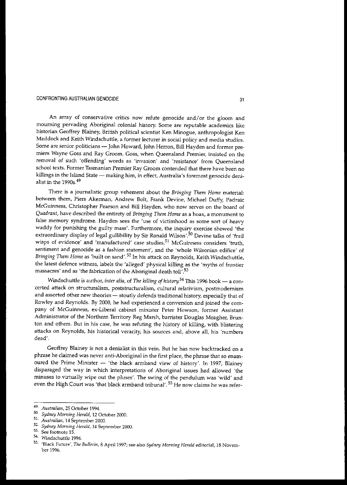**An array of conservative critics now refute genocide and/or the gloom and** mourning pervading Aboriginal colonial history. Some are reputable academics like historian Geoffrey Blainey, British political scientist Ken Minogue, anthropologist Ken **Maddock and Keith Windschuttle, a former lecturer in social policy and media studies.** Some are senior politicians - John Howard, John Herron, Bill Hayden and former pre**miers Wayne Goss and Ray Groom. Goss, when Queensland Premier, insisted on the removal of such 'offending' words as 'invasion' and 'resistance' from Queensland school texts. Former Tasmanian Premier Ray Groom contended that there have been no** killings in the Island State - making him, in effect, Australia's foremost genocide denialist in the  $1990s.<sup>49</sup>$ 

**There is a journalistic group vehement about the** *Bringing Them Home* **material:** between them, Piers Akerman, Andrew Bolt, Frank Devine, Michael Duffy, Padraic **McGuinness, Christopher Pearson and Bill Hayden, who now serves on the board of** *Quadrant,* **have described the entirety of** *Bringing Them Home* **as a hoax, a monument to false memory syndrome. Hayden sees the 'use of victimhood as some sort of heavy** waddy for punishing the guilty mass'. Furthermore, the inquiry exercise showed 'the extraordinary display of legal gullibility by Sir Ronald Wilson'.<sup>50</sup> Devine talks of 'frail **wisps of evidence' and 'manufactured' case studies.<sup>51</sup> McGuinness considers 'truth, sentiment and genocide as a fashion statement', and the 'whole Wilsonian edifice' of** *Bringing Them Home* as 'built on sand'. 52 In his attack on Reynolds, Keith Windschuttle, the latest defence witness, labels the 'alleged' physical killing as the 'myths of frontier massacres' and as 'the fabrication of the Aboriginal death toll'.<sup>53</sup>

Windschuttle is author, *inter alia*, of *The killing of history*.<sup>54</sup> This 1996 book - a con**certed attack on structuralism, poststructuralisIn, cultural relativism, postmodernism and assorted other new theories - stoutly defends traditional history, especially that of** Rowley and Reynolds. By 2000, he had experienced a conversion and joined the com**pany of McGuinness, ex-Liberal cabinet minister Peter Howson, fanner Assistant** Administrator of the Northern Territory Reg Marsh, barrister Douglas Meagher, Brunton and others. But in his case, he was refuting the history of killing, with blistering **attacks on Reynolds, his historical veracity, his sources and, above all, his 'numbers** dead'.

Geoffrey Blainey is not a denialist in this vein. But he has now backtracked on a phrase he claimed was never anti-Aboriginal in the first place, the phrase that so enamoured the Prime Minister - 'the black armband view of history'. In 1997, Blainey disparaged the way in which interpretations of Aboriginal issues had allowed 'the minuses to virtually wipe out the pluses'. The swing of the pendulum was 'wild' and even the High Court was 'that black armband tribunal'. 55 He now claims he was refer-

*<sup>49.</sup> Australian,* **25 October 1994.**

**so.** *Sydney Morning Herald,* **12 October 2000.**

*<sup>51.</sup> Australian,* **14 September 2000.**

*<sup>52.</sup> Sydney Morning Herald,* **14 September 2000.**

**<sup>53.</sup> See footnote 15.**

<sup>54.</sup> Windschuttle 1996.

**<sup>55.</sup> 'Black Future',** *The Bulletin,* **8** April 1997; **see also** *Sydney Morning Herald* **editorial, 18 Novem**ber 1996.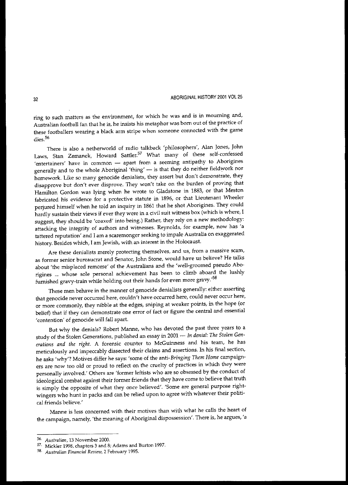**ring to such matters as the environment, for which he was and is in mourning and,** Australian football fan that he is, he insists his metaphor was born out of the practice of **these footballers wearing a black arm stripe when someone connected with the game**  $dies.<sup>56</sup>$ 

There is also a netherworld of radio talkback 'philosophers', Alan Jones, John Laws, Stan Zemanek, Howard Sattler.<sup>57</sup> What many of these self-confessed **'entertainers' have in common - apart from a seeming antipathy to Aborigines** generally and to the whole Aboriginal 'thing' - is that they do neither fieldwork nor homework. Like so many genocide denialists, they assert but don't demonstrate, they disapprove but don't ever disprove. They won't take on the burden of proving that Hamilton Gordon was lying when he wrote to Gladstone in 1883, or that Meston **fabricated his evidence for a protective statute in 1896, or that Lieutenant Wheeler** perjured himself when he told an inquiry in 1861 that he shot Aborigines. They could hardly sustain their views if ever they were in a civil suit witness box (which is where, I suggest, they should be 'coaxed' into being.) Rather, they rely on a new methodology: **attacking the integrity of authors and witnesses. Reynolds, for example, now has <sup>I</sup> a** tattered reputation' and I am a scaremonger seeking to impale Australia on exaggerated history. Besides which, I am Jewish, with an interest in the Holocaust.

**Are these denialists merely protecting themselves, and us, from a massive seam, as former senior bureaucrat and Senator, John Stone, would have us believe? He talks** about 'the misplaced remorse' of the Australians and the 'well-groomed pseudo Aborigines ... whose sole personal achievement has been to climb aboard the lushly furnished gravy-train while holding out their hands for even more gravy.'58

**These men behave in the manner of genocide denialists generally: either asserting that genocide never occurred here, couldn't have occurred here, could never occur here,** or more commonly, they nibble at the edges, sniping at weaker points, in the hope (or **belief) that if they can demonstrate one error of fact or figure the central and essential** 'contention' of genocide will fall apart.

But why the denials? Robert Manne, who has devoted the past three years to a study of the Stolen Generations, published an essay in 2001 - In denial: The Stolen Gen*erations and the right.* **A forensic counter to McGuinness and his team, he has** meticulously and impeccably dissected their claims and assertions. In his final section, he asks 'why'? Motives differ he says: 'some of the *anti-Bringing Them Home* campaigners are now too old or proud to reflect on the cruelty of practices in which they were personally involved.' Others are 'former leftists who are so obsessed by the conduct of ideological combat against their former friends that they have come to believe that truth is simply the opposite of what they once believed'. 'Some are general purpose rightwingers who hunt in packs and can be relied upon to agree with whatever their politi**cal friends believe.'**

**Manne is less concerned with their motives than with what he calls the heart of the campaign, namely, 'the meaning of Aboriginal dispossession'. There is, he argues, 'a**

*<sup>56,</sup> Australian,* **13 November 2000.**

**<sup>57.</sup> Mickler 1998, chapters 3 and 8; Adams and Burton 1997.**

*<sup>58.</sup> Australian Financial Review,* **2 February 1995.**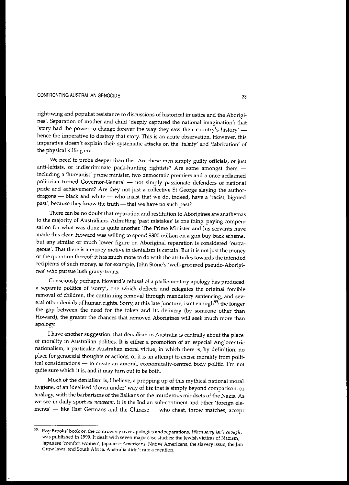**right-wing and populist resistance to discussions of historical injustice and the Aborigi**nes'. Separation of mother and child 'deeply captured the national imagination': that 'story had the power to change forever the way they saw their country's history'  $$ **hence the imperative to destroy that story. This is an acute observation. However, this imperative doesn't explain their systematic attacks on the 'falsity' and 'fabrication' of** the physical killing era.

**We need to probe deeper than this. Are these men simply guilty officials, or just anti-leftists, or indiscriminate pack-hunting rightists? Are some amongst them \_ including a 'humanist' prime minister, two democratic premiers and a once-acclaimed politician turned Governor-General - not simply passionate defenders of national** pride and achievement? Are they not just a collective St George slaying the author**dragons - black and white - who insist that we do, indeed, have a 'racist, bigoted** past', because they know the truth - that we have no such past?

**There can be no doubt that reparation and restitution to Aborigines are anathemas** to the majority of Australians. Admitting 'past mistakes' is one thing: paying compen**sation for what was done is quite another. The Prime Minister and his servants have** made this clear. Howard was willing to spend \$300 million on a gun buy-back scheme, **but any similar or much lower figure on Aboriginal reparation is considered 'outrageous'. That there is a money motive in denialism is certain. But it is not just the money or the quantum thereof: it has much more to do with the attitudes towards the intended** recipients of such money, as for example, John Stone's 'well-groomed pseudo-Aborigi**nes' who pursue lush gravy-trains.**

Consciously perhaps, Howard's refusal of a parliamentary apology has produced a separate politics of 'sorry', one which deflects and relegates the original forcible **removal of children, the continuing removal through mandatory sentencing, and sev**eral other denials of human rights. Sorry, at this late juncture, isn't enough<sup>59</sup>: the longer the gap between the need for the token and its delivery (by someone other than Howard), the greater the chances that removed Aborigines will seek much more than apology.

I have another suggestion: that denialism in Australia is centrally about the place of morality in Australian politics. It is either a promotion of an especial Anglocentric **nationalism, a particular Australian moral virtue, in which there is, by definition, no** place for genocidal thoughts or actions, or it is an attempt to excise morality from polit**ical considerations - to create an amoral, economically-centred body politic. I'm not** quite sure which it is, and it may turn out to be both.

Much of the denialism is, I believe, a propping up of this mythical national moral hygiene, of an idealised 'down under' way of life that is simply beyond comparison, or analogy, with the barbarisms of the Balkans or the murderous mindsets of the Nazis. As **we see in daily sport** *ad nauseam,* **it is the Indian sub-continent and other 'foreign ele**ments' - like East Germans and the Chinese - who cheat, throw matches, accept

<sup>59.</sup> **Ray Brooks' book on the controversy over apologies and reparations,** *When sorry isn't enough,* **was published in 1999. It dealt with seven major case studies: the Jewish victims of Nazism, Japanese 'comfort women', Japanese-Americans, Native Americans, the slavery issue, the Jim Crow laws, and South Africa. Australia didn't rate a mention.**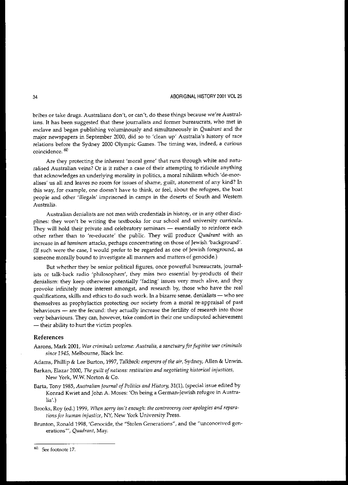**bribes or take drugs. Australians don't, or can't, do these things because we're Austral**ians. It has been suggested that these journalists and former bureaucrats, who met in enclave and began publishing voluminously and simultaneously in *Quadrant* and fhe major newspapers in September 2000, did so to 'clean up' Australia's history of race relations before the Sydney 2000 Olympic Games. The timing was, indeed, a curious **coincidence. 60**

Are they protecting the inherent 'moral gene' that runs through white and natu**ralised Australian veins? Or is it rather a case of their attempting to ridicule anything** fhat acknowledges an underlying morality in politics, a moral nihilism which'de-mor**alises' us all and leaves no room for issues of shame, guilt, atonement of any kind? In this way, for example, one doesn't have to think, or feel, about the refugees, the boat** people and other 'illegals' imprisoned in camps in the deserts of South and Western Australia.

Australian denialists are not men with credentials in history, or in any other disciplines: they won't be writing fhe textbooks for our school and university curricula. **They will hold their private and celebratory seminars - essentially to reinforce each** other rather than to 're-educate' the public. They will produce *Quadrant* wifh an **increase in** *ad hominem* **attacks, perhaps concentrating on those of Jewish 'backgroWld'. (If such were the case, I would prefer to be regarded as one of Jewish foreground, as** someone morally bound to investigate all manners and matters of genocide.)

But whether they be senior political figures, once powerful bureaucrats, journalists or talk-back radio 'philosophers', they miss two essential by-products of their denialism: they keep otherwise potentially 'fading' issues very much alive, and fhey provoke infinitely more interest amongst, and research by, those who have the real **qualifications, skills and ethics to do such work. In a bizarre sense, denialists - who see** fhemselves as prophylactics protecting our society from a moral re-appraisal of past behaviours - are the fecund: they actually increase the fertility of research into those **very behaviours. They can, however, take comfort in their one undisputed achievement** - their ability to hurt the victim peoples.

#### References

- **Aarons, Mark 2001,** *War criminals welcome: Australia, a sanctuary forfugitive war criminals since* 1945, Melbourne, Black Inc.
- Adams, Phillip & Lee Burton, 1997, *Talkback: emperors of the air,* Sydney, Allen & Unwin.
- **Barkan, Elazar 2000,** *The guilt of nations: restitution and negotiating historical injustices,* New York, W.W. Norton & Co.
- Barta, Tony 1985, Australian Journal of Politics and History, 31(1), (special issue edited by Konrad Kwiet and John A. Moses: 'On being a German-Jewish refugee in Australia'.)
- Brooks, Roy (ed.) 1999, *When sorry isn't enough: the controversy over apologies and reparationsfor human injustice,* NY, New York University Press.
- **Brunton, Ronald 1998, 'Genocide, the "Stolen Generations", and the "unconceived generations''',** *Quadrant,* **May.**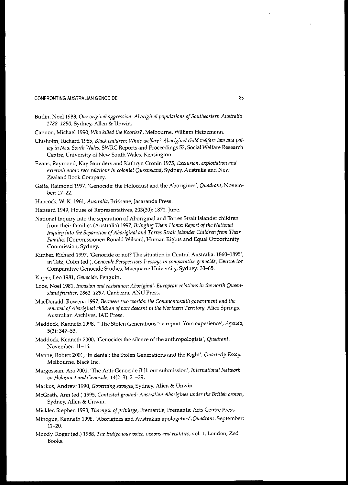- Butlin, Noel 1983, *Our original aggression: Aboriginal populations of Southeastern Australia 1788-1850,* Sydney, Alien & Unwin.
- Cannon, Michae11990, *Who kit/ed the Koories?,* Melbourne, William Heinemann.
- Chishoim, Richard 1985, *Black children: White welfare? Aboriginal child welfare law and pol*icy in *New South Wales,* SWRC Reports and Proceedings 52, Social Welfare Research Centre, University of New South Wales, Kensington.
- Evans, Raymond, Kay Saunders and Kathryn Cronin 1975, *Exclusion, exploitation and extermination: race relations in colonial Queensland,* **Sydney, Australia and New** Zealand Book Company.
- Gaita, Raimond 1997, 'Genocide: the Holocaust and the Aborigines', *Quadrant,* November: 17-22.
- Hancock, W. K. 1961, *Australia,* Brisbane, Jacaranda Press.
- Hansard 1949, House of Representatives, 203(30): 1871, June.
- **National Inquiry into the separation of Aboriginal and Torres Strait Islander children** from their families (Australia) 1997, *Bringing Them Home: Report ofthe National Inquiry into the Separation ofAboriginal and Torres Strait Islander Children from Their Families* [Commissioner: Ronald Wilsonj, Human Rights and Equal Opportunity **Commission, Sydney.**
- Kimber, Richard 1997, 'Genocide or not? The situation in Central Australia, 1860-1895', in Tatz, CoUn (ed.), *Genocide Perspectives* I: *essays* in *comparative genocide,* Centre for Comparative Genocide Studies, Macquarie University, Sydney: 33-65.
- Kuper, Leo 1981, *Genocide,* Penguin.
- **Loos,** Noel 1981, *Invasion and resistance: Aboriginal-European relations in the north Queenslandfrontier,* 1861-1897, Canberra, ANU Press.
- MacDonald, Rowena 1997, *Between two worlds: the Commonwealth government and the removal ofAboriginal children of part descent* in *the Northern Territory,* Alice Springs, Australian Archives, lAD Press.
- Maddock, Kenneth 1998, "'The Stolen Generations": a report from experience', *Agenda,* 5(3): 347-53.
- Maddock, Kenneth *2000,* 'Genocide: the silence of the anthropologists', *Quadrant,* November: 11-16.
- Manne, Robert 2001, 'In denial: the Stolen Generations and the Right', *Quarterly Essay,* Melbourne, Black 1nc.
- Margossian, Ara 7.001, 'The Anti-Genocide Bill: our submission', *International Network on Holocaust and Genocide,* 14(2-3): 21-39.
- Markus, Andrew *1990, Governing savages,* Sydney, Alien & Unwin.
- McGrath, Ann (ed.) 1995, *Contested ground: Australian Aborigines under the British crown,* Sydney, Alien & Unwin.
- Mickler, Stephen 1998, *The myth of privilege,* Fremantle, Fremantle Arts Centre Press.
- Minogue, Kenneth 1998, 'Aborigines and Australian *apologetics',Quadrant,* September: 11-20.
- **Moody, Roger (ed.) 1988,** *The Indigenous voice, visions and realities,* **vaL 1, London, Zed** Books.